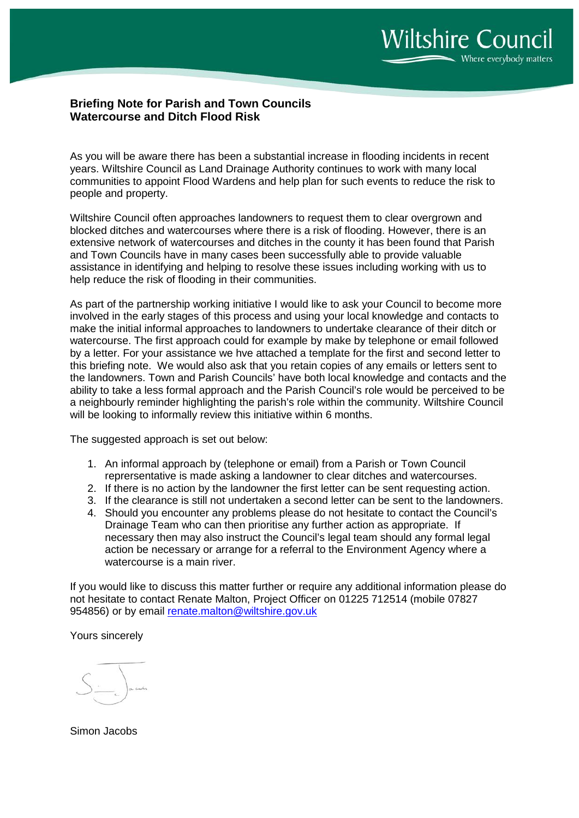## **Briefing Note for Parish and Town Councils Watercourse and Ditch Flood Risk**

As you will be aware there has been a substantial increase in flooding incidents in recent years. Wiltshire Council as Land Drainage Authority continues to work with many local communities to appoint Flood Wardens and help plan for such events to reduce the risk to people and property.

Wiltshire Council often approaches landowners to request them to clear overgrown and blocked ditches and watercourses where there is a risk of flooding. However, there is an extensive network of watercourses and ditches in the county it has been found that Parish and Town Councils have in many cases been successfully able to provide valuable assistance in identifying and helping to resolve these issues including working with us to help reduce the risk of flooding in their communities.

As part of the partnership working initiative I would like to ask your Council to become more involved in the early stages of this process and using your local knowledge and contacts to make the initial informal approaches to landowners to undertake clearance of their ditch or watercourse. The first approach could for example by make by telephone or email followed by a letter. For your assistance we hve attached a template for the first and second letter to this briefing note. We would also ask that you retain copies of any emails or letters sent to the landowners. Town and Parish Councils' have both local knowledge and contacts and the ability to take a less formal approach and the Parish Council's role would be perceived to be a neighbourly reminder highlighting the parish's role within the community. Wiltshire Council will be looking to informally review this initiative within 6 months.

The suggested approach is set out below:

- 1. An informal approach by (telephone or email) from a Parish or Town Council reprersentative is made asking a landowner to clear ditches and watercourses.
- 2. If there is no action by the landowner the first letter can be sent requesting action.
- 3. If the clearance is still not undertaken a second letter can be sent to the landowners.
- 4. Should you encounter any problems please do not hesitate to contact the Council's Drainage Team who can then prioritise any further action as appropriate. If necessary then may also instruct the Council's legal team should any formal legal action be necessary or arrange for a referral to the Environment Agency where a watercourse is a main river.

If you would like to discuss this matter further or require any additional information please do not hesitate to contact Renate Malton, Project Officer on 01225 712514 (mobile 07827 954856) or by email [renate.malton@wiltshire.gov.uk](mailto:renate.malton@wiltshire.gov.uk)

Yours sincerely

Simon Jacobs